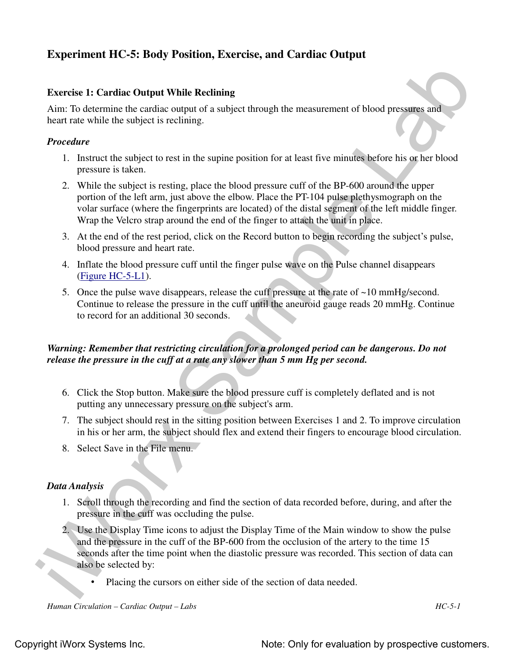# **Experiment HC-5: Body Position, Exercise, and Cardiac Output**

#### **Exercise 1: Cardiac Output While Reclining**

Aim: To determine the cardiac output of a subject through the measurement of blood pressures and heart rate while the subject is reclining.

#### *Procedure*

- 1. Instruct the subject to rest in the supine position for at least five minutes before his or her blood pressure is taken.
- Exercise 11 Carolinia Rev of Data Valida Revision, state can be calculated by the measurement of blood pressure and<br>
incertine the cardio compute of subject incouple the measurement of blood pressure and<br>
heart rate of hi 2. While the subject is resting, place the blood pressure cuff of the BP-600 around the upper portion of the left arm, just above the elbow. Place the PT-104 pulse plethysmograph on the volar surface (where the fingerprints are located) of the distal segment of the left middle finger. Wrap the Velcro strap around the end of the finger to attach the unit in place.
	- 3. At the end of the rest period, click on the Record button to begin recording the subject's pulse, blood pressure and heart rate.
	- 4. Inflate the blood pressure cuff until the finger pulse wave on the Pulse channel disappears (Figure HC-5-L1).
	- 5. Once the pulse wave disappears, release the cuff pressure at the rate of ~10 mmHg/second. Continue to release the pressure in the cuff until the aneuroid gauge reads 20 mmHg. Continue to record for an additional 30 seconds.

## *Warning: Remember that restricting circulation for a prolonged period can be dangerous. Do not release the pressure in the cuff at a rate any slower than 5 mm Hg per second.*

- 6. Click the Stop button. Make sure the blood pressure cuff is completely deflated and is not putting any unnecessary pressure on the subject's arm.
- 7. The subject should rest in the sitting position between Exercises 1 and 2. To improve circulation in his or her arm, the subject should flex and extend their fingers to encourage blood circulation.
- 8. Select Save in the File menu.

#### *Data Analysis*

- 1. Scroll through the recording and find the section of data recorded before, during, and after the pressure in the cuff was occluding the pulse.
- 2. Use the Display Time icons to adjust the Display Time of the Main window to show the pulse and the pressure in the cuff of the BP-600 from the occlusion of the artery to the time 15 seconds after the time point when the diastolic pressure was recorded. This section of data can also be selected by:
	- Placing the cursors on either side of the section of data needed.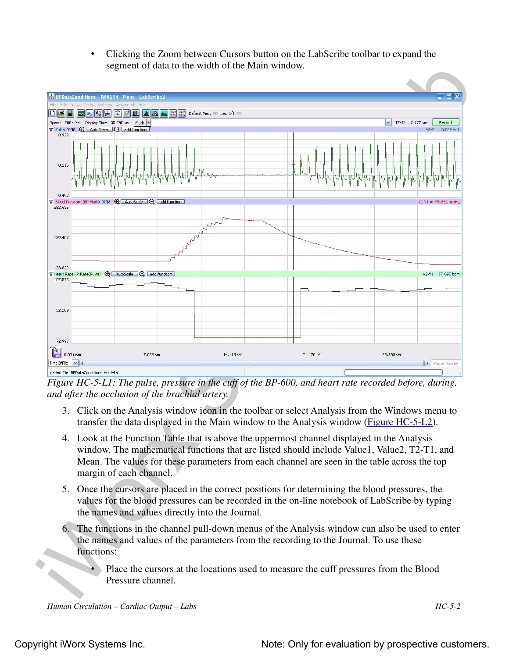• Clicking the Zoom between Cursors button on the LabScribe toolbar to expand the segment of data to the width of the Main window.



*Figure HC-5-L1: The pulse, pressure in the cuff of the BP-600, and heart rate recorded before, during, and after the occlusion of the brachial artery.*

- 3. Click on the Analysis window icon in the toolbar or select Analysis from the Windows menu to transfer the data displayed in the Main window to the Analysis window (Figure HC-5-L2).
- 4. Look at the Function Table that is above the uppermost channel displayed in the Analysis window. The mathematical functions that are listed should include Value1, Value2, T2-T1, and Mean. The values for these parameters from each channel are seen in the table across the top margin of each channel.
- 5. Once the cursors are placed in the correct positions for determining the blood pressures, the values for the blood pressures can be recorded in the on-line notebook of LabScribe by typing the names and values directly into the Journal.
- 6. The functions in the channel pull-down menus of the Analysis window can also be used to enter the names and values of the parameters from the recording to the Journal. To use these functions:
	- Place the cursors at the locations used to measure the cuff pressures from the Blood Pressure channel.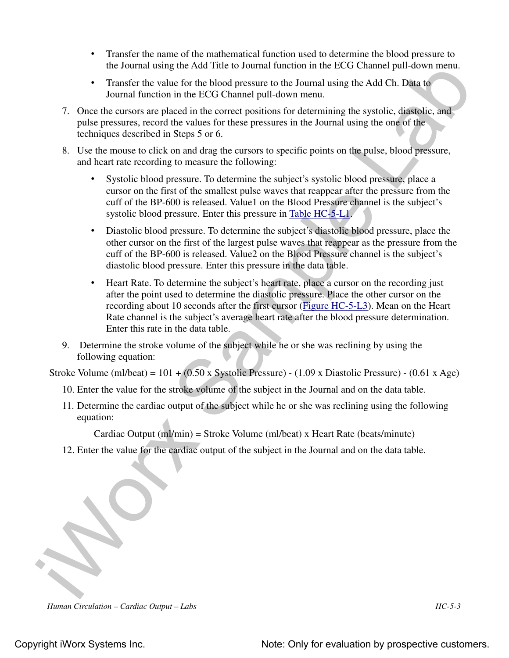- Transfer the name of the mathematical function used to determine the blood pressure to the Journal using the Add Title to Journal function in the ECG Channel pull-down menu.
- Transfer the value for the blood pressure to the Journal using the Add Ch. Data to Journal function in the ECG Channel pull-down menu.
- 7. Once the cursors are placed in the correct positions for determining the systolic, diastolic, and pulse pressures, record the values for these pressures in the Journal using the one of the techniques described in Steps 5 or 6.
- 8. Use the mouse to click on and drag the cursors to specific points on the pulse, blood pressure, and heart rate recording to measure the following:
	- Systolic blood pressure. To determine the subject's systolic blood pressure, place a cursor on the first of the smallest pulse waves that reappear after the pressure from the cuff of the BP-600 is released. Value1 on the Blood Pressure channel is the subject's systolic blood pressure. Enter this pressure in Table HC-5-L1.
	- Diastolic blood pressure. To determine the subject's diastolic blood pressure, place the other cursor on the first of the largest pulse waves that reappear as the pressure from the cuff of the BP-600 is released. Value2 on the Blood Pressure channel is the subject's diastolic blood pressure. Enter this pressure in the data table.
- the Jeannal using the Add Title to Journal function in the ECG Channel pull down norm.<br>
Transfer the wide Given Hotsel proposes to the Journal unit give Add Ch. Dilan to<br>
Journal function in the LCG Channel pull-doven men • Heart Rate. To determine the subject's heart rate, place a cursor on the recording just after the point used to determine the diastolic pressure. Place the other cursor on the recording about 10 seconds after the first cursor (Figure HC-5-L3). Mean on the Heart Rate channel is the subject's average heart rate after the blood pressure determination. Enter this rate in the data table.
	- 9. Determine the stroke volume of the subject while he or she was reclining by using the following equation:

Stroke Volume (ml/beat) = 101 + (0.50 x Systolic Pressure) - (1.09 x Diastolic Pressure) - (0.61 x Age)

- 10. Enter the value for the stroke volume of the subject in the Journal and on the data table.
- 11. Determine the cardiac output of the subject while he or she was reclining using the following equation:

Cardiac Output (ml/min) = Stroke Volume (ml/beat) x Heart Rate (beats/minute)

12. Enter the value for the cardiac output of the subject in the Journal and on the data table.

*Human Circulation – Cardiac Output – Labs HC-5-3*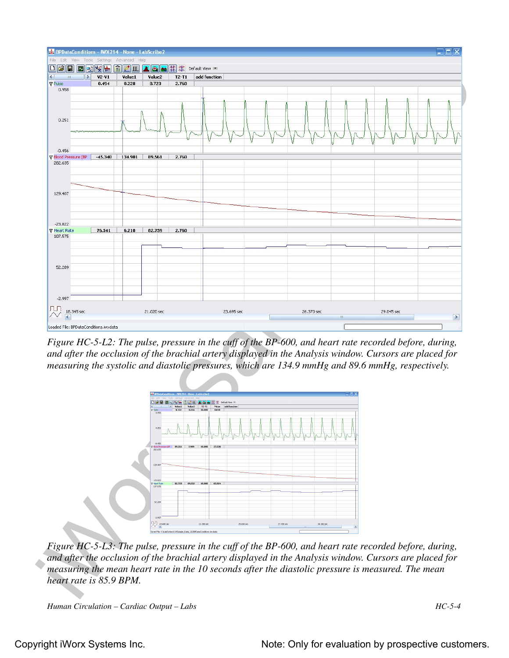

*Figure HC-5-L2: The pulse, pressure in the cuff of the BP-600, and heart rate recorded before, during, and after the occlusion of the brachial artery displayed in the Analysis window. Cursors are placed for measuring the systolic and diastolic pressures, which are 134.9 mmHg and 89.6 mmHg, respectively.*



*Figure HC-5-L3: The pulse, pressure in the cuff of the BP-600, and heart rate recorded before, during, and after the occlusion of the brachial artery displayed in the Analysis window. Cursors are placed for measuring the mean heart rate in the 10 seconds after the diastolic pressure is measured. The mean heart rate is 85.9 BPM.*

```
Human Circulation – Cardiac Output – Labs HC-5-4
```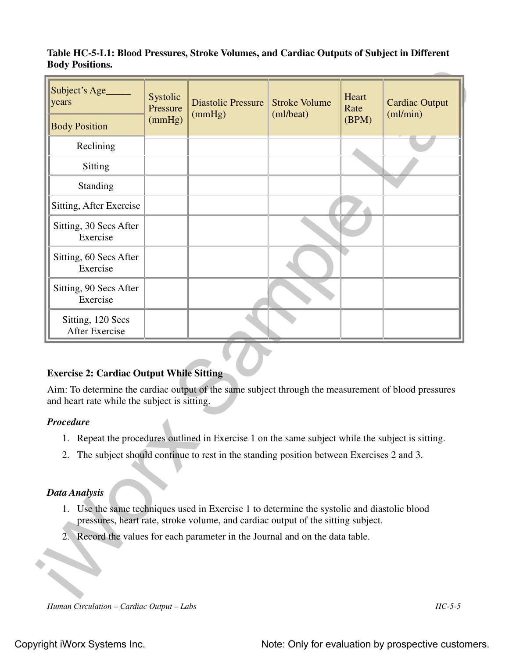### **Table HC-5-L1: Blood Pressures, Stroke Volumes, and Cardiac Outputs of Subject in Different Body Positions.**

| Subject's Age<br>years                                                                                                                                                                                                           | Systolic<br>Pressure<br>(mmHg) | <b>Diastolic Pressure</b><br>(mmHg)                                                            | <b>Stroke Volume</b><br>(ml/beat) | Heart<br>Rate<br>(BPM) | <b>Cardiac Output</b><br>$m$ l/min $)$ |
|----------------------------------------------------------------------------------------------------------------------------------------------------------------------------------------------------------------------------------|--------------------------------|------------------------------------------------------------------------------------------------|-----------------------------------|------------------------|----------------------------------------|
| <b>Body Position</b>                                                                                                                                                                                                             |                                |                                                                                                |                                   |                        |                                        |
| Reclining                                                                                                                                                                                                                        |                                |                                                                                                |                                   |                        |                                        |
| Sitting                                                                                                                                                                                                                          |                                |                                                                                                |                                   |                        |                                        |
| Standing                                                                                                                                                                                                                         |                                |                                                                                                |                                   |                        |                                        |
| Sitting, After Exercise                                                                                                                                                                                                          |                                |                                                                                                |                                   |                        |                                        |
| Sitting, 30 Secs After<br>Exercise                                                                                                                                                                                               |                                |                                                                                                |                                   |                        |                                        |
| Sitting, 60 Secs After<br>Exercise                                                                                                                                                                                               |                                |                                                                                                |                                   |                        |                                        |
| Sitting, 90 Secs After<br>Exercise                                                                                                                                                                                               |                                |                                                                                                |                                   |                        |                                        |
| Sitting, 120 Secs<br><b>After Exercise</b>                                                                                                                                                                                       |                                |                                                                                                |                                   |                        |                                        |
| <b>Exercise 2: Cardiac Output While Sitting</b><br>Aim: To determine the cardiac output of the same subject through the measurement of blood pressures<br>and heart rate while the subject is sitting.<br><b>Procedure</b><br>1. |                                | Repeat the procedures outlined in Exercise 1 on the same subject while the subject is sitting. |                                   |                        |                                        |
| The subject should continue to rest in the standing position between Exercises 2 and 3.<br>2.                                                                                                                                    |                                |                                                                                                |                                   |                        |                                        |
|                                                                                                                                                                                                                                  |                                |                                                                                                |                                   |                        |                                        |
| <b>Data Analysis</b><br>1. Use the same techniques used in Exercise 1 to determine the systolic and diastolic blood                                                                                                              |                                | pressures, heart rate, stroke volume, and cardiac output of the sitting subject.               |                                   |                        |                                        |

## **Exercise 2: Cardiac Output While Sitting**

## *Procedure*

- 1. Repeat the procedures outlined in Exercise 1 on the same subject while the subject is sitting.
- 2. The subject should continue to rest in the standing position between Exercises 2 and 3.

## *Data Analysis*

- 1. Use the same techniques used in Exercise 1 to determine the systolic and diastolic blood pressures, heart rate, stroke volume, and cardiac output of the sitting subject.
- 2. Record the values for each parameter in the Journal and on the data table.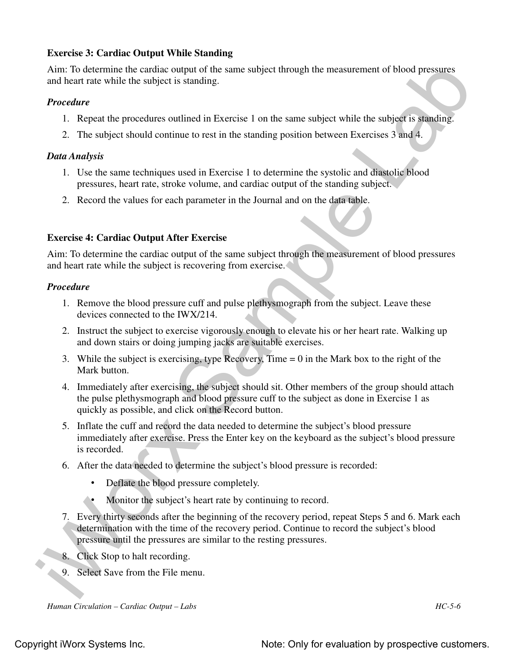## **Exercise 3: Cardiac Output While Standing**

Aim: To determine the cardiac output of the same subject through the measurement of blood pressures and heart rate while the subject is standing.

#### *Procedure*

- 1. Repeat the procedures outlined in Exercise 1 on the same subject while the subject is standing.
- 2. The subject should continue to rest in the standing position between Exercises 3 and 4.

#### *Data Analysis*

- 1. Use the same techniques used in Exercise 1 to determine the systolic and diastolic blood pressures, heart rate, stroke volume, and cardiac output of the standing subject.
- 2. Record the values for each parameter in the Journal and on the data table.

## **Exercise 4: Cardiac Output After Exercise**

Aim: To determine the cardiac output of the same subject through the measurement of blood pressures and heart rate while the subject is recovering from exercise.

#### *Procedure*

- 1. Remove the blood pressure cuff and pulse plethysmograph from the subject. Leave these devices connected to the IWX/214.
- 2. Instruct the subject to exercise vigorously enough to elevate his or her heart rate. Walking up and down stairs or doing jumping jacks are suitable exercises.
- 3. While the subject is exercising, type Recovery, Time = 0 in the Mark box to the right of the Mark button.
- Aine To determine the candise output of the same subject through the measurement of blood pressures<br>
and heat rate while the subject is studing.<br> **Expect the procedures** outlined in Exercise 1 on the same subject while th 4. Immediately after exercising, the subject should sit. Other members of the group should attach the pulse plethysmograph and blood pressure cuff to the subject as done in Exercise 1 as quickly as possible, and click on the Record button.
	- 5. Inflate the cuff and record the data needed to determine the subject's blood pressure immediately after exercise. Press the Enter key on the keyboard as the subject's blood pressure is recorded.
	- 6. After the data needed to determine the subject's blood pressure is recorded:
		- Deflate the blood pressure completely.
		- Monitor the subject's heart rate by continuing to record.
	- 7. Every thirty seconds after the beginning of the recovery period, repeat Steps 5 and 6. Mark each determination with the time of the recovery period. Continue to record the subject's blood pressure until the pressures are similar to the resting pressures.
	- 8. Click Stop to halt recording.
	- 9. Select Save from the File menu.